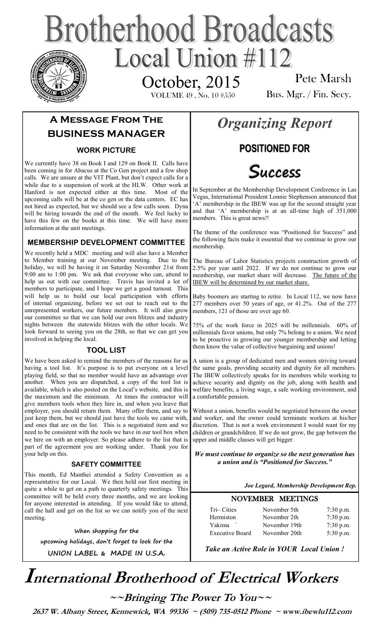## **Brotherhood Broadcasts** Local Union  $\#112$ October, 2015

VOLUME 49 , No. 10 #550

Pete Marsh Bus. Mgr. / Fin. Secy.

### **A Message From The BUSINESS MANAGER**

### **WORK PICTURE**

We currently have 38 on Book I and 129 on Book II. Calls have been coming in for Abacus at the Co Gen project and a few shop calls. We are unsure at the VIT Plant, but don't expect calls for a while due to a suspension of work at the HLW. Other work at Hanford is not expected either at this time. Most of the upcoming calls will be at the co gen or the data centers. EC has not hired as expected, but we should see a few calls soon. Dyna will be hiring towards the end of the month. We feel lucky to have this few on the books at this time. We will have more information at the unit meetings.

### **MEMBERSHIP DEVELOPMENT COMMITTEE**

We recently held a MDC meeting and will also have a Member to Member training at our November meeting. Due to the holiday, we will be having it on Saturday November 21st from 9:00 am to 1:00 pm. We ask that everyone who can, attend to help us out with our committee. Travis has invited a lot of members to participate, and I hope we get a good turnout. This will help us to build our local participation with efforts of internal organizing, before we set out to reach out to the unrepresented workers, our future members. It will also grow our committee so that we can hold our own blitzes and industry nights between the statewide blitzes with the other locals. We look forward to seeing you on the 28th, so that we can get you involved in helping the local.

### **TOOL LIST**

We have been asked to remind the members of the reasons for us having a tool list. It's purpose is to put everyone on a level playing field, so that no member would have an advantage over another. When you are dispatched, a copy of the tool list is available, which is also posted on the Local's website, and this is the maximum and the minimum. At times the contractor will give members tools when they hire in, and when you leave that employer, you should return them. Many offer them, and say to just keep them, but we should just have the tools we came with, and ones that are on the list. This is a negotiated item and we need to be consistent with the tools we have in our tool box when we hire on with an employer. So please adhere to the list that is part of the agreement you are working under. Thank you for your help on this.

#### **SAFETY COMMITTEE**

This month, Ed Manthei attended a Safety Convention as a representative for our Local. We then held our first meeting in quite a while to get on a path to quarterly safety meetings. This committee will be held every three months, and we are looking for anyone interested in attending. If you would like to attend, call the hall and get on the list so we can notify you of the next meeting.

**When shopping for the upcoming holidays, don't forget to look for the UNION LABEL & MADE IN U.S.A.** 

### *Organizing Report*

### **POSITIONED FOR**



In September at the Membership Development Conference in Las Vegas, International President Lonnie Stephenson announced that 'A' membership in the IBEW was up for the second straight year and that 'A' membership is at an all-time high of 351,000 members. This is great news!!

The theme of the conference was "Positioned for Success" and the following facts make it essential that we continue to grow our membership.

The Bureau of Labor Statistics projects construction growth of 2.5% per year until 2022. If we do not continue to grow our membership, our market share will decrease. The future of the IBEW will be determined by our market share.

Baby boomers are starting to retire. In Local 112, we now have 277 members over 50 years of age, or 41.2%. Out of the 277 members, 121 of those are over age 60.

75% of the work force in 2025 will be millennials. 60% of millennials favor unions, but only 7% belong to a union. We need to be proactive in growing our younger membership and letting them know the value of collective bargaining and unions!

A union is a group of dedicated men and women striving toward the same goals, providing security and dignity for all members. The IBEW collectively speaks for its members while working to achieve security and dignity on the job, along with health and welfare benefits, a living wage, a safe working environment, and a comfortable pension.

Without a union, benefits would be negotiated between the owner and worker, and the owner could terminate workers at his/her discretion. That is not a work environment I would want for my children or grandchildren. If we do not grow, the gap between the upper and middle classes will get bigger.

*We must continue to organize so the next generation has a union and is "Positioned for Success."*

*Joe Legard, Membership Development Rep.* 

### NOVEMBER MEETINGS

| Tri-Cities             | November 5th  | $7:30$ p.m. |
|------------------------|---------------|-------------|
| Hermiston              | November 2th  | $7:30$ p.m. |
| Yakima                 | November 19th | $7:30$ p.m. |
| <b>Executive Board</b> | November 20th | 5:30 p.m.   |

*Take an Active Role in YOUR Local Union !* 

## **International Brotherhood of <sup>E</sup>lectrical Workers**

**~~Bringing The Power To You~~** 

 **2637 W. Albany Street, Kennewick, WA 99336 ~ (509) 735-0512 Phone ~ www.ibewlu112.com**